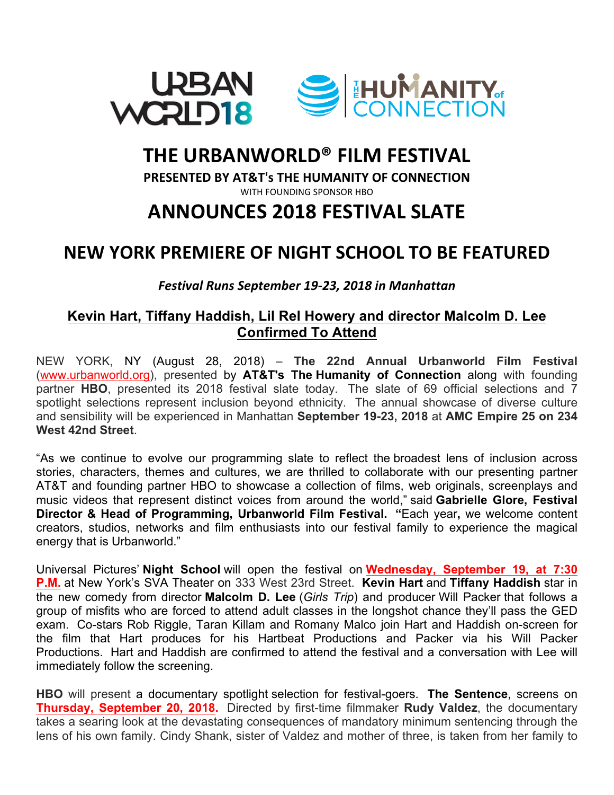

# **THE URBANWORLD® FILM FESTIVAL**

**PRESENTED BY AT&T's THE HUMANITY OF CONNECTION** 

WITH FOUNDING SPONSOR HBO

# **ANNOUNCES 2018 FESTIVAL SLATE**

### **NEW YORK PREMIERE OF NIGHT SCHOOL TO BE FEATURED**

*Festival Runs September 19-23, 2018 in Manhattan*

### **Kevin Hart, Tiffany Haddish, Lil Rel Howery and director Malcolm D. Lee Confirmed To Attend**

NEW YORK, NY (August 28, 2018) – **The 22nd Annual Urbanworld Film Festival** (www.urbanworld.org), presented by **AT&T's The Humanity of Connection** along with founding partner **HBO**, presented its 2018 festival slate today. The slate of 69 official selections and 7 spotlight selections represent inclusion beyond ethnicity. The annual showcase of diverse culture and sensibility will be experienced in Manhattan **September 19-23, 2018** at **AMC Empire 25 on 234 West 42nd Street**.

"As we continue to evolve our programming slate to reflect the broadest lens of inclusion across stories, characters, themes and cultures, we are thrilled to collaborate with our presenting partner AT&T and founding partner HBO to showcase a collection of films, web originals, screenplays and music videos that represent distinct voices from around the world," said **Gabrielle Glore, Festival Director & Head of Programming, Urbanworld Film Festival. "**Each year**,** we welcome content creators, studios, networks and film enthusiasts into our festival family to experience the magical energy that is Urbanworld."

Universal Pictures' **Night School** will open the festival on **Wednesday, September 19, at 7:30 P.M.** at New York's SVA Theater on 333 West 23rd Street. **Kevin Hart** and **Tiffany Haddish** star in the new comedy from director **Malcolm D. Lee** (*Girls Trip*) and producer Will Packer that follows a group of misfits who are forced to attend adult classes in the longshot chance they'll pass the GED exam. Co-stars Rob Riggle, Taran Killam and Romany Malco join Hart and Haddish on-screen for the film that Hart produces for his Hartbeat Productions and Packer via his Will Packer Productions. Hart and Haddish are confirmed to attend the festival and a conversation with Lee will immediately follow the screening.

**HBO** will present a documentary spotlight selection for festival-goers. **The Sentence**, screens on **Thursday, September 20, 2018.** Directed by first-time filmmaker **Rudy Valdez**, the documentary takes a searing look at the devastating consequences of mandatory minimum sentencing through the lens of his own family. Cindy Shank, sister of Valdez and mother of three, is taken from her family to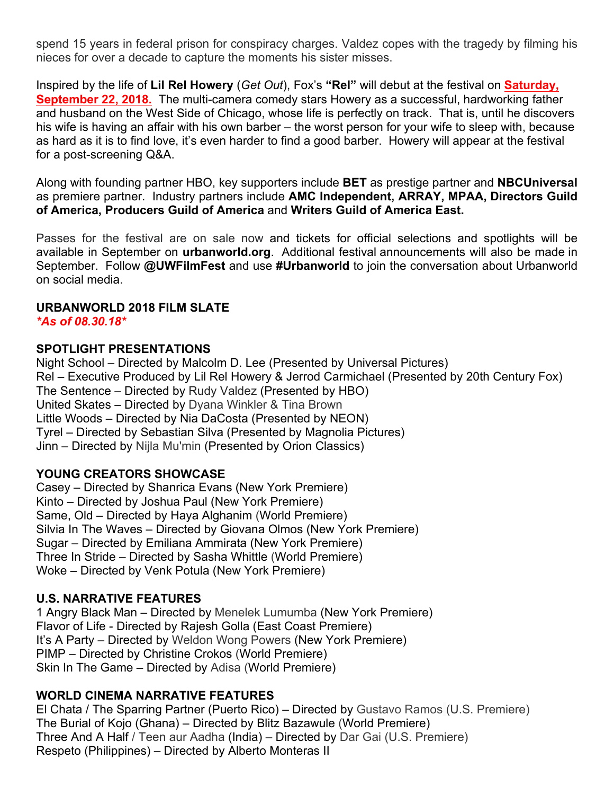spend 15 years in federal prison for conspiracy charges. Valdez copes with the tragedy by filming his nieces for over a decade to capture the moments his sister misses.

Inspired by the life of **Lil Rel Howery** (*Get Out*), Fox's **"Rel"** will debut at the festival on **Saturday, September 22, 2018.** The multi-camera comedy stars Howery as a successful, hardworking father and husband on the West Side of Chicago, whose life is perfectly on track. That is, until he discovers his wife is having an affair with his own barber – the worst person for your wife to sleep with, because as hard as it is to find love, it's even harder to find a good barber. Howery will appear at the festival for a post-screening Q&A.

Along with founding partner HBO, key supporters include **BET** as prestige partner and **NBCUniversal** as premiere partner. Industry partners include **AMC Independent, ARRAY, MPAA, Directors Guild of America, Producers Guild of America** and **Writers Guild of America East.**

Passes for the festival are on sale now and tickets for official selections and spotlights will be available in September on **urbanworld.org**. Additional festival announcements will also be made in September. Follow **@UWFilmFest** and use **#Urbanworld** to join the conversation about Urbanworld on social media.

#### **URBANWORLD 2018 FILM SLATE**

*\*As of 08.30.18\**

#### **SPOTLIGHT PRESENTATIONS**

Night School – Directed by Malcolm D. Lee (Presented by Universal Pictures) Rel – Executive Produced by Lil Rel Howery & Jerrod Carmichael (Presented by 20th Century Fox) The Sentence – Directed by Rudy Valdez (Presented by HBO) United Skates – Directed by Dyana Winkler & Tina Brown Little Woods – Directed by Nia DaCosta (Presented by NEON) Tyrel – Directed by Sebastian Silva (Presented by Magnolia Pictures) Jinn – Directed by Nijla Mu'min (Presented by Orion Classics)

#### **YOUNG CREATORS SHOWCASE**

Casey – Directed by Shanrica Evans (New York Premiere) Kinto – Directed by Joshua Paul (New York Premiere) Same, Old – Directed by Haya Alghanim (World Premiere) Silvia In The Waves – Directed by Giovana Olmos (New York Premiere) Sugar – Directed by Emiliana Ammirata (New York Premiere) Three In Stride – Directed by Sasha Whittle (World Premiere) Woke – Directed by Venk Potula (New York Premiere)

#### **U.S. NARRATIVE FEATURES**

1 Angry Black Man – Directed by Menelek Lumumba (New York Premiere) Flavor of Life - Directed by Rajesh Golla (East Coast Premiere) It's A Party – Directed by Weldon Wong Powers (New York Premiere) PIMP – Directed by Christine Crokos (World Premiere) Skin In The Game – Directed by Adisa (World Premiere)

#### **WORLD CINEMA NARRATIVE FEATURES**

El Chata / The Sparring Partner (Puerto Rico) – Directed by Gustavo Ramos (U.S. Premiere) The Burial of Kojo (Ghana) – Directed by Blitz Bazawule (World Premiere) Three And A Half / Teen aur Aadha (India) – Directed by Dar Gai (U.S. Premiere) Respeto (Philippines) – Directed by Alberto Monteras II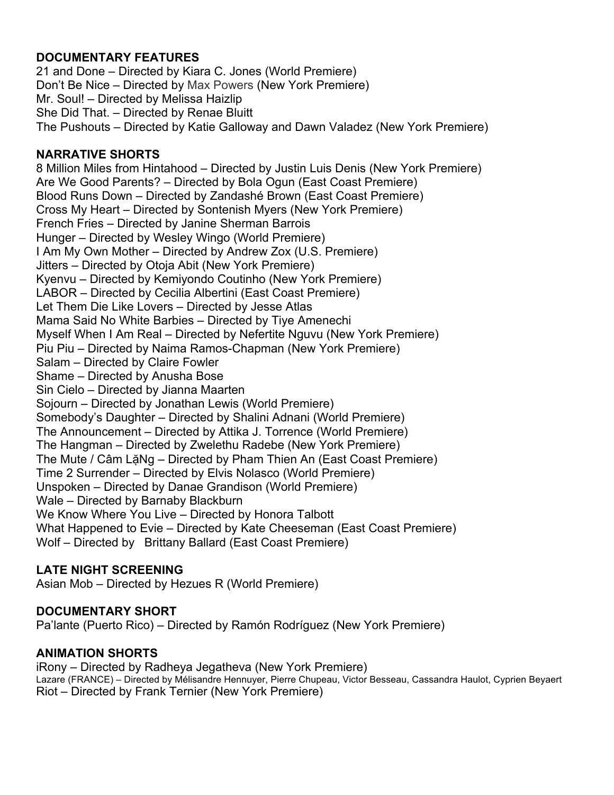### **DOCUMENTARY FEATURES**

21 and Done – Directed by Kiara C. Jones (World Premiere) Don't Be Nice – Directed by Max Powers (New York Premiere) Mr. Soul! – Directed by Melissa Haizlip She Did That. – Directed by Renae Bluitt The Pushouts – Directed by Katie Galloway and Dawn Valadez (New York Premiere)

#### **NARRATIVE SHORTS**

8 Million Miles from Hintahood – Directed by Justin Luis Denis (New York Premiere) Are We Good Parents? – Directed by Bola Ogun (East Coast Premiere) Blood Runs Down – Directed by Zandashé Brown (East Coast Premiere) Cross My Heart – Directed by Sontenish Myers (New York Premiere) French Fries – Directed by Janine Sherman Barrois Hunger – Directed by Wesley Wingo (World Premiere) I Am My Own Mother – Directed by Andrew Zox (U.S. Premiere) Jitters – Directed by Otoja Abit (New York Premiere) Kyenvu – Directed by Kemiyondo Coutinho (New York Premiere) LABOR – Directed by Cecilia Albertini (East Coast Premiere) Let Them Die Like Lovers – Directed by Jesse Atlas Mama Said No White Barbies – Directed by Tiye Amenechi Myself When I Am Real – Directed by Nefertite Nguvu (New York Premiere) Piu Piu – Directed by Naima Ramos-Chapman (New York Premiere) Salam – Directed by Claire Fowler Shame – Directed by Anusha Bose Sin Cielo – Directed by Jianna Maarten Sojourn – Directed by Jonathan Lewis (World Premiere) Somebody's Daughter – Directed by Shalini Adnani (World Premiere) The Announcement – Directed by Attika J. Torrence (World Premiere) The Hangman – Directed by Zwelethu Radebe (New York Premiere) The Mute / Câm LặNg – Directed by Pham Thien An (East Coast Premiere) Time 2 Surrender – Directed by Elvis Nolasco (World Premiere) Unspoken – Directed by Danae Grandison (World Premiere) Wale – Directed by Barnaby Blackburn We Know Where You Live – Directed by Honora Talbott What Happened to Evie – Directed by Kate Cheeseman (East Coast Premiere) Wolf – Directed by Brittany Ballard (East Coast Premiere)

#### **LATE NIGHT SCREENING**

Asian Mob – Directed by Hezues R (World Premiere)

#### **DOCUMENTARY SHORT**

Pa'lante (Puerto Rico) – Directed by Ramón Rodríguez (New York Premiere)

#### **ANIMATION SHORTS**

iRony – Directed by Radheya Jegatheva (New York Premiere) Lazare (FRANCE) – Directed by Mélisandre Hennuyer, Pierre Chupeau, Victor Besseau, Cassandra Haulot, Cyprien Beyaert Riot – Directed by Frank Ternier (New York Premiere)